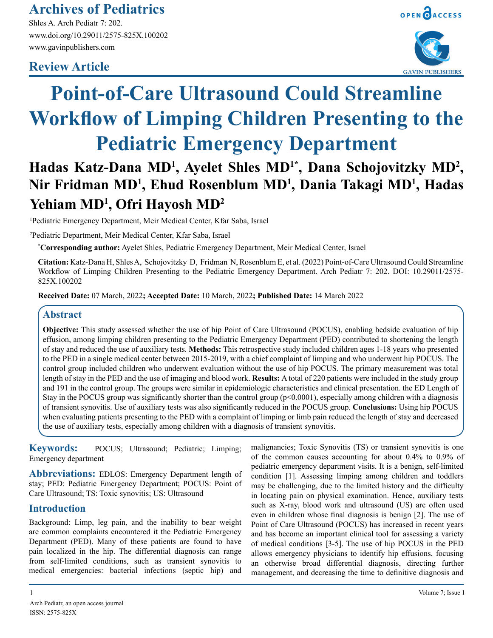## **Archives of Pediatrics**

Shles A. Arch Pediatr 7: 202. www.doi.org/10.29011/2575-825X.100202 www.gavinpublishers.com

### **Review Article**



# **Point-of-Care Ultrasound Could Streamline Workflow of Limping Children Presenting to the Pediatric Emergency Department**

## Hadas Katz-Dana MD<sup>1</sup>, Ayelet Shles MD<sup>1\*</sup>, Dana Schojovitzky MD<sup>2</sup>, **Nir Fridman MD<sup>1</sup> , Ehud Rosenblum MD<sup>1</sup> , Dania Takagi MD<sup>1</sup> , Hadas Yehiam MD<sup>1</sup> , Ofri Hayosh MD<sup>2</sup>**

1 Pediatric Emergency Department, Meir Medical Center, Kfar Saba, Israel

2 Pediatric Department, Meir Medical Center, Kfar Saba, Israel

**\* Corresponding author:** Ayelet Shles, Pediatric Emergency Department, Meir Medical Center, Israel

**Citation:** Katz-Dana H, Shles A, Schojovitzky D, Fridman N, Rosenblum E, et al. (2022) Point-of-Care Ultrasound Could Streamline Workflow of Limping Children Presenting to the Pediatric Emergency Department. Arch Pediatr 7: 202. DOI: 10.29011/2575- 825X.100202

**Received Date:** 07 March, 2022**; Accepted Date:** 10 March, 2022**; Published Date:** 14 March 2022

#### **Abstract**

**Objective:** This study assessed whether the use of hip Point of Care Ultrasound (POCUS), enabling bedside evaluation of hip effusion, among limping children presenting to the Pediatric Emergency Department (PED) contributed to shortening the length of stay and reduced the use of auxiliary tests. **Methods:** This retrospective study included children ages 1-18 years who presented to the PED in a single medical center between 2015-2019, with a chief complaint of limping and who underwent hip POCUS. The control group included children who underwent evaluation without the use of hip POCUS. The primary measurement was total length of stay in the PED and the use of imaging and blood work. **Results:** A total of 220 patients were included in the study group and 191 in the control group. The groups were similar in epidemiologic characteristics and clinical presentation. the ED Length of Stay in the POCUS group was significantly shorter than the control group ( $p<0.0001$ ), especially among children with a diagnosis of transient synovitis. Use of auxiliary tests was also significantly reduced in the POCUS group. **Conclusions:** Using hip POCUS when evaluating patients presenting to the PED with a complaint of limping or limb pain reduced the length of stay and decreased the use of auxiliary tests, especially among children with a diagnosis of transient synovitis.

**Keywords:** POCUS; Ultrasound; Pediatric; Limping; Emergency department

**Abbreviations:** EDLOS: Emergency Department length of stay; PED: Pediatric Emergency Department; POCUS: Point of Care Ultrasound; TS: Toxic synovitis; US: Ultrasound

#### **Introduction**

Background: Limp, leg pain, and the inability to bear weight are common complaints encountered it the Pediatric Emergency Department (PED). Many of these patients are found to have pain localized in the hip. The differential diagnosis can range from self-limited conditions, such as transient synovitis to medical emergencies: bacterial infections (septic hip) and

malignancies; Toxic Synovitis (TS) or transient synovitis is one of the common causes accounting for about 0.4% to 0.9% of pediatric emergency department visits. It is a benign, self-limited condition [1]. Assessing limping among children and toddlers may be challenging, due to the limited history and the difficulty in locating pain on physical examination. Hence, auxiliary tests such as X-ray, blood work and ultrasound (US) are often used even in children whose final diagnosis is benign [2]. The use of Point of Care Ultrasound (POCUS) has increased in recent years and has become an important clinical tool for assessing a variety of medical conditions [3-5]. The use of hip POCUS in the PED allows emergency physicians to identify hip effusions, focusing an otherwise broad differential diagnosis, directing further management, and decreasing the time to definitive diagnosis and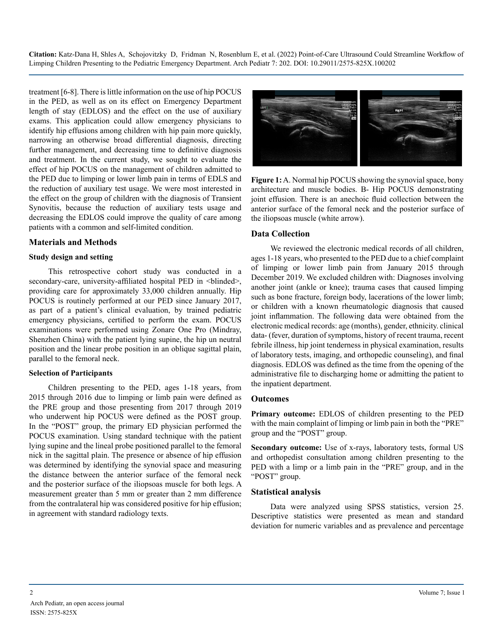treatment [6-8]. There is little information on the use of hip POCUS in the PED, as well as on its effect on Emergency Department length of stay (EDLOS) and the effect on the use of auxiliary exams. This application could allow emergency physicians to identify hip effusions among children with hip pain more quickly, narrowing an otherwise broad differential diagnosis, directing further management, and decreasing time to definitive diagnosis and treatment. In the current study, we sought to evaluate the effect of hip POCUS on the management of children admitted to the PED due to limping or lower limb pain in terms of EDLS and the reduction of auxiliary test usage. We were most interested in the effect on the group of children with the diagnosis of Transient Synovitis, because the reduction of auxiliary tests usage and decreasing the EDLOS could improve the quality of care among patients with a common and self-limited condition.

#### **Materials and Methods**

#### **Study design and setting**

This retrospective cohort study was conducted in a secondary-care, university-affiliated hospital PED in  $\triangle$ blinded>, providing care for approximately 33,000 children annually. Hip POCUS is routinely performed at our PED since January 2017, as part of a patient's clinical evaluation, by trained pediatric emergency physicians, certified to perform the exam. POCUS examinations were performed using Zonare One Pro (Mindray, Shenzhen China) with the patient lying supine, the hip un neutral position and the linear probe position in an oblique sagittal plain, parallel to the femoral neck.

#### **Selection of Participants**

Children presenting to the PED, ages 1-18 years, from 2015 through 2016 due to limping or limb pain were defined as the PRE group and those presenting from 2017 through 2019 who underwent hip POCUS were defined as the POST group. In the "POST" group, the primary ED physician performed the POCUS examination. Using standard technique with the patient lying supine and the lineal probe positioned parallel to the femoral nick in the sagittal plain. The presence or absence of hip effusion was determined by identifying the synovial space and measuring the distance between the anterior surface of the femoral neck and the posterior surface of the iliopsoas muscle for both legs. A measurement greater than 5 mm or greater than 2 mm difference from the contralateral hip was considered positive for hip effusion; in agreement with standard radiology texts.



**Figure 1:** A. Normal hip POCUS showing the synovial space, bony architecture and muscle bodies. B- Hip POCUS demonstrating joint effusion. There is an anechoic fluid collection between the anterior surface of the femoral neck and the posterior surface of the iliopsoas muscle (white arrow).

#### **Data Collection**

We reviewed the electronic medical records of all children, ages 1-18 years, who presented to the PED due to a chief complaint of limping or lower limb pain from January 2015 through December 2019. We excluded children with: Diagnoses involving another joint (ankle or knee); trauma cases that caused limping such as bone fracture, foreign body, lacerations of the lower limb; or children with a known rheumatologic diagnosis that caused joint inflammation. The following data were obtained from the electronic medical records: age (months), gender, ethnicity. clinical data- (fever, duration of symptoms, history of recent trauma, recent febrile illness, hip joint tenderness in physical examination, results of laboratory tests, imaging, and orthopedic counseling), and final diagnosis. EDLOS was defined as the time from the opening of the administrative file to discharging home or admitting the patient to the inpatient department.

#### **Outcomes**

**Primary outcome:** EDLOS of children presenting to the PED with the main complaint of limping or limb pain in both the "PRE" group and the "POST" group.

**Secondary outcome:** Use of x-rays, laboratory tests, formal US and orthopedist consultation among children presenting to the PED with a limp or a limb pain in the "PRE" group, and in the "POST" group.

#### **Statistical analysis**

Data were analyzed using SPSS statistics, version 25. Descriptive statistics were presented as mean and standard deviation for numeric variables and as prevalence and percentage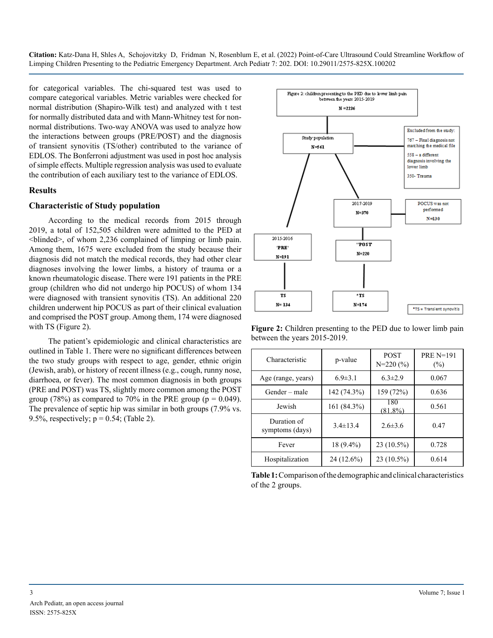for categorical variables. The chi-squared test was used to compare categorical variables. Metric variables were checked for normal distribution (Shapiro-Wilk test) and analyzed with t test for normally distributed data and with Mann-Whitney test for nonnormal distributions. Two-way ANOVA was used to analyze how the interactions between groups (PRE/POST) and the diagnosis of transient synovitis (TS/other) contributed to the variance of EDLOS. The Bonferroni adjustment was used in post hoc analysis of simple effects. Multiple regression analysis was used to evaluate the contribution of each auxiliary test to the variance of EDLOS.

#### **Results**

#### **Characteristic of Study population**

According to the medical records from 2015 through 2019, a total of 152,505 children were admitted to the PED at <blinded>, of whom 2,236 complained of limping or limb pain. Among them, 1675 were excluded from the study because their diagnosis did not match the medical records, they had other clear diagnoses involving the lower limbs, a history of trauma or a known rheumatologic disease. There were 191 patients in the PRE group (children who did not undergo hip POCUS) of whom 134 were diagnosed with transient synovitis (TS). An additional 220 children underwent hip POCUS as part of their clinical evaluation and comprised the POST group. Among them, 174 were diagnosed with TS (Figure 2).

The patient's epidemiologic and clinical characteristics are outlined in Table 1. There were no significant differences between the two study groups with respect to age, gender, ethnic origin (Jewish, arab), or history of recent illness (e.g., cough, runny nose, diarrhoea, or fever). The most common diagnosis in both groups (PRE and POST) was TS, slightly more common among the POST group (78%) as compared to 70% in the PRE group ( $p = 0.049$ ). The prevalence of septic hip was similar in both groups (7.9% vs. 9.5%, respectively;  $p = 0.54$ ; (Table 2).



**Figure 2:** Children presenting to the PED due to lower limb pain between the years 2015-2019.

| Characteristic                 | p-value        | <b>POST</b><br>$N=220(%)$ | <b>PRE N=191</b><br>$(\%)$ |
|--------------------------------|----------------|---------------------------|----------------------------|
| Age (range, years)             | $6.9 \pm 3.1$  | $6.3 \pm 2.9$             | 0.067                      |
| Gender – male                  | 142 (74.3%)    | 159 (72%)                 | 0.636                      |
| Jewish                         | 161 (84.3%)    | 180<br>$(81.8\%)$         | 0.561                      |
| Duration of<br>symptoms (days) | $3.4 \pm 13.4$ | $2.6\pm3.6$               | 0.47                       |
| Fever                          | 18 (9.4%)      | 23 (10.5%)                | 0.728                      |
| Hospitalization                | 24 (12.6%)     | $23(10.5\%)$              | 0.614                      |

**Table 1:** Comparison of the demographic and clinical characteristics of the 2 groups.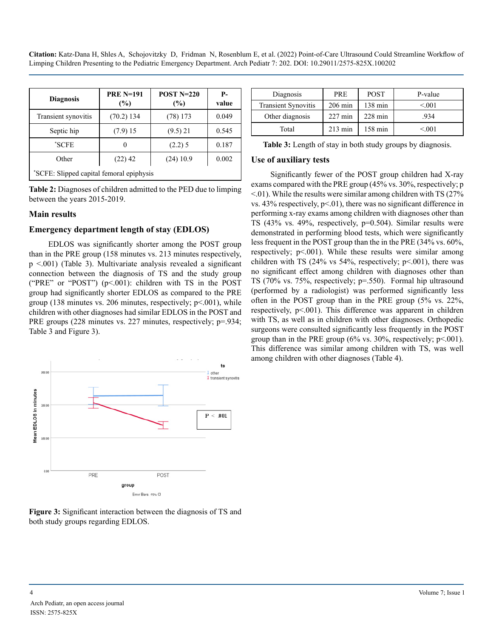| <b>Diagnosis</b>                         | <b>PRE N=191</b><br>(%) | <b>POST N=220</b><br>(%) | <b>P</b> -<br>value |
|------------------------------------------|-------------------------|--------------------------|---------------------|
| Transient synovitis                      | $(70.2)$ 134            | $(78)$ 173               | 0.049               |
| Septic hip                               | (7.9)15                 | $(9.5)$ 21               | 0.545               |
| *SCFE                                    |                         | $(2.2)$ 5                | 0.187               |
| Other                                    | $(22)$ 42               | $(24)$ 10.9              | 0.002               |
| "SCFE: Slipped capital femoral epiphysis |                         |                          |                     |

**Table 2:** Diagnoses of children admitted to the PED due to limping between the years 2015-2019.

#### **Main results**

#### **Emergency department length of stay (EDLOS)**

EDLOS was significantly shorter among the POST group than in the PRE group (158 minutes vs. 213 minutes respectively, p <.001) (Table 3). Multivariate analysis revealed a significant connection between the diagnosis of TS and the study group ("PRE" or "POST") (p<.001): children with TS in the POST group had significantly shorter EDLOS as compared to the PRE group (138 minutes vs. 206 minutes, respectively;  $p<0.001$ ), while children with other diagnoses had similar EDLOS in the POST and PRE groups (228 minutes vs. 227 minutes, respectively; p=.934; Table 3 and Figure 3).





| Diagnosis                  | PRE               | <b>POST</b>       | P-value |
|----------------------------|-------------------|-------------------|---------|
| <b>Transient Synovitis</b> | $206 \text{ min}$ | $138 \text{ min}$ | < 0.01  |
| Other diagnosis            | $227 \text{ min}$ | $228 \text{ min}$ | .934    |
| Total                      | $213 \text{ min}$ | 158 min           | < 0.01  |

| Table 3: Length of stay in both study groups by diagnosis. |  |  |
|------------------------------------------------------------|--|--|
|------------------------------------------------------------|--|--|

#### **Use of auxiliary tests**

Significantly fewer of the POST group children had X-ray exams compared with the PRE group (45% vs. 30%, respectively; p  $\leq$ .01). While the results were similar among children with TS (27%) vs.  $43\%$  respectively,  $p<01$ ), there was no significant difference in performing x-ray exams among children with diagnoses other than TS (43% vs. 49%, respectively, p=0.504). Similar results were demonstrated in performing blood tests, which were significantly less frequent in the POST group than the in the PRE (34% vs. 60%, respectively;  $p<.001$ ). While these results were similar among children with TS  $(24\% \text{ vs } 54\%$ , respectively;  $p \le 0.001$ ), there was no significant effect among children with diagnoses other than TS (70% vs. 75%, respectively; p=.550). Formal hip ultrasound (performed by a radiologist) was performed significantly less often in the POST group than in the PRE group (5% vs. 22%, respectively, p<.001). This difference was apparent in children with TS, as well as in children with other diagnoses. Orthopedic surgeons were consulted significantly less frequently in the POST group than in the PRE group  $(6\% \text{ vs. } 30\%$ , respectively;  $p<.001$ ). This difference was similar among children with TS, was well among children with other diagnoses (Table 4).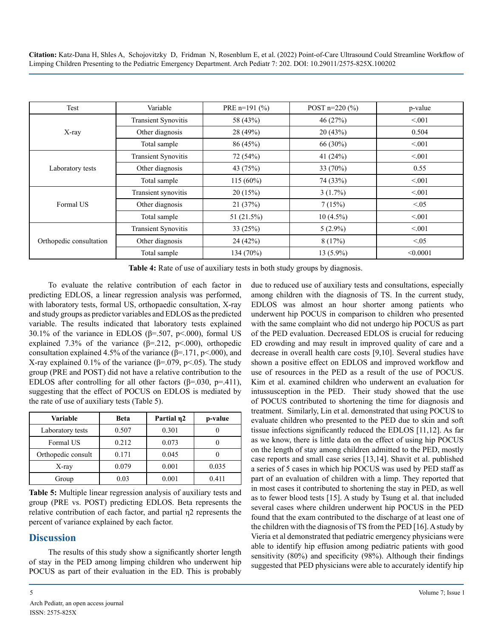| Test                    | Variable                   | PRE $n=191$ (%) | POST $n=220$ (%) | p-value  |
|-------------------------|----------------------------|-----------------|------------------|----------|
| X-ray                   | <b>Transient Synovitis</b> | 58 (43%)        | 46(27%)          | < 0.01   |
|                         | Other diagnosis            | 28 (49%)        | 20(43%)          | 0.504    |
|                         | Total sample               | 86 (45%)        | 66 (30%)         | < 0.01   |
|                         | <b>Transient Synovitis</b> | 72 (54%)        | 41 $(24%)$       | < 0.01   |
| Laboratory tests        | Other diagnosis            | 43 (75%)        | 33 $(70\%)$      | 0.55     |
|                         | Total sample               | $115(60\%)$     | 74 (33%)         | < 0.01   |
|                         | Transient synovitis        | 20(15%)         | $3(1.7\%)$       | < 0.01   |
| Formal US               | Other diagnosis            | 21(37%)         | 7(15%)           | < 0.05   |
|                         | Total sample               | 51 (21.5%)      | $10(4.5\%)$      | < 0.01   |
|                         | <b>Transient Synovitis</b> | 33(25%)         | $5(2.9\%)$       | < 0.01   |
| Orthopedic consultation | Other diagnosis            | 24 (42%)        | 8(17%)           | < 0.05   |
|                         | Total sample               | 134 (70%)       | $13(5.9\%)$      | < 0.0001 |

**Table 4:** Rate of use of auxiliary tests in both study groups by diagnosis.

To evaluate the relative contribution of each factor in predicting EDLOS, a linear regression analysis was performed, with laboratory tests, formal US, orthopaedic consultation, X-ray and study groups as predictor variables and EDLOS as the predicted variable. The results indicated that laboratory tests explained 30.1% of the variance in EDLOS ( $\beta$ =.507, p<.000), formal US explained 7.3% of the variance  $(\beta = 212, \ p \le 000)$ , orthopedic consultation explained 4.5% of the variance  $(\beta = 171, \text{p} < 000)$ , and X-ray explained 0.1% of the variance ( $\beta$ =.079, p<.05). The study group (PRE and POST) did not have a relative contribution to the EDLOS after controlling for all other factors ( $\beta$ =.030, p=.411), suggesting that the effect of POCUS on EDLOS is mediated by the rate of use of auxiliary tests (Table 5).

| Variable           | <b>Beta</b> | Partial $\eta$ 2 | p-value |
|--------------------|-------------|------------------|---------|
| Laboratory tests   | 0.507       | 0.301            |         |
| Formal US          | 0.212       | 0.073            |         |
| Orthopedic consult | 0.171       | 0.045            |         |
| X-ray              | 0.079       | 0.001            | 0.035   |
| Group              | 0.03        | 0.001            | 0.411   |

**Table 5:** Multiple linear regression analysis of auxiliary tests and group (PRE vs. POST) predicting EDLOS. Beta represents the relative contribution of each factor, and partial η2 represents the percent of variance explained by each factor.

#### **Discussion**

The results of this study show a significantly shorter length of stay in the PED among limping children who underwent hip POCUS as part of their evaluation in the ED. This is probably due to reduced use of auxiliary tests and consultations, especially among children with the diagnosis of TS. In the current study, EDLOS was almost an hour shorter among patients who underwent hip POCUS in comparison to children who presented with the same complaint who did not undergo hip POCUS as part of the PED evaluation. Decreased EDLOS is crucial for reducing ED crowding and may result in improved quality of care and a decrease in overall health care costs [9,10]. Several studies have shown a positive effect on EDLOS and improved workflow and use of resources in the PED as a result of the use of POCUS. Kim et al. examined children who underwent an evaluation for intussusception in the PED. Their study showed that the use of POCUS contributed to shortening the time for diagnosis and treatment. Similarly, Lin et al. demonstrated that using POCUS to evaluate children who presented to the PED due to skin and soft tissue infections significantly reduced the EDLOS [11,12]. As far as we know, there is little data on the effect of using hip POCUS on the length of stay among children admitted to the PED, mostly case reports and small case series [13,14]. Shavit et al. published a series of 5 cases in which hip POCUS was used by PED staff as part of an evaluation of children with a limp. They reported that in most cases it contributed to shortening the stay in PED, as well as to fewer blood tests [15]. A study by Tsung et al. that included several cases where children underwent hip POCUS in the PED found that the exam contributed to the discharge of at least one of the children with the diagnosis of TS from the PED [16]. A study by Vieria et al demonstrated that pediatric emergency physicians were able to identify hip effusion among pediatric patients with good sensitivity (80%) and specificity (98%). Although their findings suggested that PED physicians were able to accurately identify hip